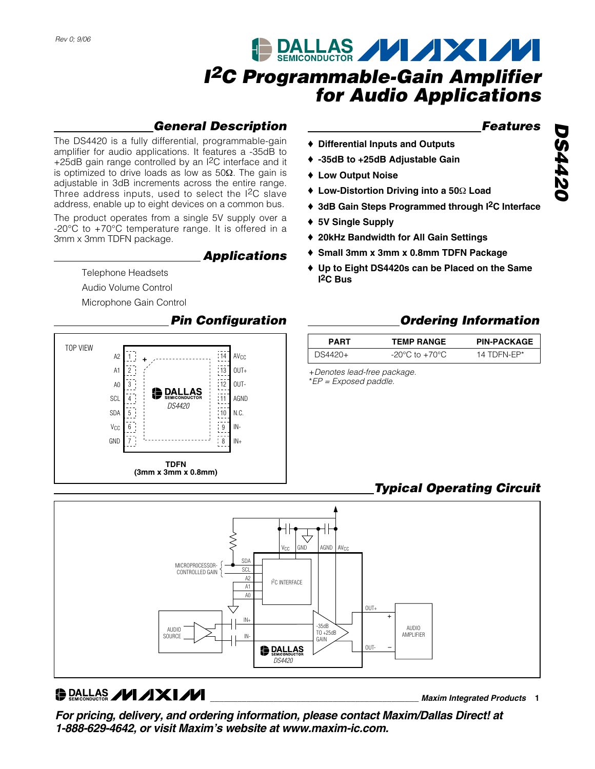# **DALLAS MIXIXI <sup>I</sup><sup>2</sup>C Programmable-Gain Amplifier for Audio Applications**

## **General Description**

The DS4420 is a fully differential, programmable-gain amplifier for audio applications. It features a -35dB to +25dB gain range controlled by an I<sup>2</sup>C interface and it is optimized to drive loads as low as 50Ω. The gain is adjustable in 3dB increments across the entire range. Three address inputs, used to select the I2C slave address, enable up to eight devices on a common bus.

The product operates from a single 5V supply over a -20°C to +70°C temperature range. It is offered in a 3mm x 3mm TDFN package.

**Applications**

Telephone Headsets

Audio Volume Control

Microphone Gain Control

### **Pin Configuration**



### **Features**

- ♦ **Differential Inputs and Outputs**
- ♦ **-35dB to +25dB Adjustable Gain**
- ♦ **Low Output Noise**
- ♦ **Low-Distortion Driving into a 50**Ω **Load**
- ♦ **3dB Gain Steps Programmed through I2C Interface**
- ♦ **5V Single Supply**
- ♦ **20kHz Bandwidth for All Gain Settings**
- ♦ **Small 3mm x 3mm x 0.8mm TDFN Package**
- ♦ **Up to Eight DS4420s can be Placed on the Same I2C Bus**

## **Ordering Information**

| <b>PART</b> | <b>TEMP RANGE</b> | <b>PIN-PACKAGE</b> |
|-------------|-------------------|--------------------|
| 7S4420+     | -20°C to +70°C    | 14 TDEN-EP*        |

+Denotes lead-free package.

\*EP = Exposed paddle.

## **Typical Operating Circuit**



## O DALLAS **// // XI//**

**\_\_\_\_\_\_\_\_\_\_\_\_\_\_\_\_\_\_\_\_\_\_\_\_\_\_\_\_\_\_\_\_\_\_\_\_\_\_\_\_\_\_\_\_\_\_ Maxim Integrated Products 1**

**For pricing, delivery, and ordering information, please contact Maxim/Dallas Direct! at 1-888-629-4642, or visit Maxim's website at www.maxim-ic.com.**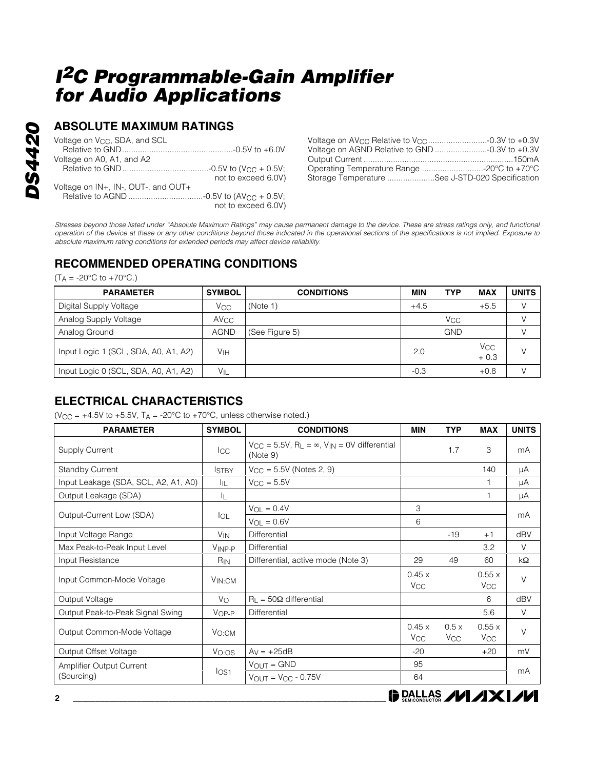## **ABSOLUTE MAXIMUM RATINGS**

| Voltage on V <sub>CC</sub> , SDA, and SCL |                     |
|-------------------------------------------|---------------------|
|                                           |                     |
| Voltage on A0, A1, and A2                 |                     |
|                                           |                     |
|                                           | not to exceed 6.0V) |
| Voltage on IN+, IN-, OUT-, and OUT+       |                     |
|                                           |                     |
|                                           | not to exceed 6.0V) |

| Voltage on AV <sub>CC</sub> Relative to V <sub>CC</sub> 0.3V to +0.3V |  |
|-----------------------------------------------------------------------|--|
| Voltage on AGND Relative to GND -0.3V to +0.3V                        |  |
|                                                                       |  |
| Operating Temperature Range -20°C to +70°C                            |  |
| Storage Temperature See J-STD-020 Specification                       |  |

Stresses beyond those listed under "Absolute Maximum Ratings" may cause permanent damage to the device. These are stress ratings only, and functional operation of the device at these or any other conditions beyond those indicated in the operational sections of the specifications is not implied. Exposure to absolute maximum rating conditions for extended periods may affect device reliability.

## **RECOMMENDED OPERATING CONDITIONS**

 $(T_A = -20\degree C \text{ to } +70\degree C.)$ 

| <b>PARAMETER</b>                     | <b>SYMBOL</b>          | <b>CONDITIONS</b> | <b>MIN</b> | <b>TYP</b>            | <b>MAX</b>                      | <b>UNITS</b> |
|--------------------------------------|------------------------|-------------------|------------|-----------------------|---------------------------------|--------------|
| Digital Supply Voltage               | Vcc                    | (Note 1)          | $+4.5$     |                       | $+5.5$                          | V            |
| Analog Supply Voltage                | <b>AV<sub>CC</sub></b> |                   |            | <b>V<sub>CC</sub></b> |                                 |              |
| Analog Ground                        | <b>AGND</b>            | (See Figure 5)    |            | <b>GND</b>            |                                 |              |
| Input Logic 1 (SCL, SDA, A0, A1, A2) | V <sub>IH</sub>        |                   | 2.0        |                       | <b>V<sub>CC</sub></b><br>$+0.3$ | V            |
| Input Logic 0 (SCL, SDA, A0, A1, A2) | $V_{IL}$               |                   | $-0.3$     |                       | $+0.8$                          |              |

### **ELECTRICAL CHARACTERISTICS**

(V<sub>CC</sub> =  $+4.5V$  to  $+5.5V$ , T<sub>A</sub> = -20°C to  $+70$ °C, unless otherwise noted.)

| <b>PARAMETER</b>                     | <b>SYMBOL</b>     | <b>CONDITIONS</b>                                                                           | <b>MIN</b>                     | <b>TYP</b>                    | <b>MAX</b>                               | <b>UNITS</b> |  |
|--------------------------------------|-------------------|---------------------------------------------------------------------------------------------|--------------------------------|-------------------------------|------------------------------------------|--------------|--|
| <b>Supply Current</b>                | $_{\rm{ICC}}$     | $V_{CC} = 5.5V$ , R <sub>L</sub> = $\infty$ , V <sub>IN</sub> = 0V differential<br>(Note 9) |                                | 1.7                           | 3                                        | mA           |  |
| <b>Standby Current</b>               | <b>ISTBY</b>      | $V_{CC} = 5.5V$ (Notes 2, 9)                                                                |                                |                               | 140                                      | μA           |  |
| Input Leakage (SDA, SCL, A2, A1, A0) | ĪЩ                | $V_{\rm CC} = 5.5V$                                                                         |                                |                               | 1                                        | μA           |  |
| Output Leakage (SDA)                 | ΙL                |                                                                                             |                                |                               | 1                                        | μA           |  |
|                                      |                   | $V_{\Omega I} = 0.4V$                                                                       | 3                              |                               |                                          |              |  |
| Output-Current Low (SDA)             | $I_{OL}$          | $V_{OL} = 0.6V$                                                                             | 6                              |                               |                                          | mA           |  |
| Input Voltage Range                  | V <sub>IN</sub>   | Differential                                                                                |                                | $-19$                         | $+1$                                     | dBV          |  |
| Max Peak-to-Peak Input Level         | VINP-P            | Differential                                                                                |                                |                               | 3.2                                      | V            |  |
| Input Resistance                     | $R_{IN}$          | Differential, active mode (Note 3)                                                          | 29                             | 49                            | 60                                       | $k\Omega$    |  |
| Input Common-Mode Voltage            | $V_{IN:CM}$       |                                                                                             | 0.45x<br><b>V<sub>CC</sub></b> |                               | 0.55x<br><b>V<sub>CC</sub></b>           | $\vee$       |  |
| Output Voltage                       | $V_{\rm O}$       | $R_1 = 50\Omega$ differential                                                               |                                |                               | 6                                        | dBV          |  |
| Output Peak-to-Peak Signal Swing     | $VOP-P$           | Differential                                                                                |                                |                               | 5.6                                      | $\vee$       |  |
| Output Common-Mode Voltage           | $V_{\text{O:CM}}$ |                                                                                             | 0.45x<br><b>V<sub>CC</sub></b> | 0.5x<br><b>V<sub>CC</sub></b> | 0.55x<br><b>V<sub>CC</sub></b>           | $\vee$       |  |
| Output Offset Voltage                | $V_{O:OS}$        | $Ay = +25dB$                                                                                | $-20$                          |                               | $+20$                                    | mV           |  |
| Amplifier Output Current             |                   | $V_{OUT} = GND$                                                                             | 95                             |                               |                                          | mA           |  |
| (Sourcing)                           | I <sub>OS1</sub>  | $V_{OUT} = V_{CC} - 0.75V$                                                                  | 64                             |                               |                                          |              |  |
| 2                                    |                   |                                                                                             |                                |                               | $\bigoplus_{\text{SMEONUCOS}}$ // / / XI |              |  |

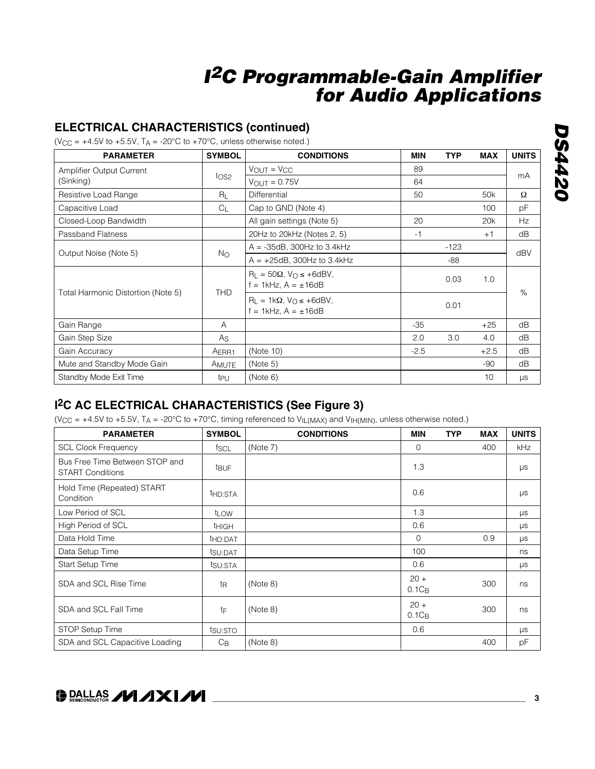### **ELECTRICAL CHARACTERISTICS (continued)**

(V<sub>CC</sub> =  $+4.5V$  to  $+5.5V$ , T<sub>A</sub> = -20°C to  $+70^{\circ}$ C, unless otherwise noted.)

| <b>PARAMETER</b>                   | <b>SYMBOL</b>     | <b>CONDITIONS</b>                                                        | MIN    | <b>TYP</b> | <b>MAX</b>      | <b>UNITS</b> |
|------------------------------------|-------------------|--------------------------------------------------------------------------|--------|------------|-----------------|--------------|
| <b>Amplifier Output Current</b>    |                   | $V_{OUT} = V_{CC}$                                                       | 89     |            |                 |              |
| (Sinking)                          | I <sub>OS2</sub>  | $V_{OUT} = 0.75V$                                                        | 64     |            |                 | mA           |
| Resistive Load Range               | $R_L$             | Differential                                                             | 50     |            | 50 <sub>k</sub> | Ω            |
| Capacitive Load                    | C <sub>1</sub>    | Cap to GND (Note 4)                                                      |        |            | 100             | рF           |
| Closed-Loop Bandwidth              |                   | All gain settings (Note 5)                                               | 20     |            | 20 <sub>k</sub> | Hz           |
| <b>Passband Flatness</b>           |                   | 20Hz to 20kHz (Notes 2, 5)                                               | $-1$   |            | $+1$            | dB           |
|                                    |                   | $A = -35dB$ , 300Hz to 3.4kHz                                            |        | $-123$     |                 |              |
| Output Noise (Note 5)              | N <sub>O</sub>    | $A = +25dB$ , 300Hz to 3.4kHz                                            | $-88$  |            |                 |              |
|                                    |                   | $R_{L} = 50\Omega$ , $V_{O} \le +6$ dBV,<br>$= 1$ kHz, A = $\pm 16$ dB   |        | 0.03       | 1.0             |              |
| Total Harmonic Distortion (Note 5) | <b>THD</b>        | $R_{L} = 1k\Omega$ , $V_{O} \le +6dBV$ ,<br>f = 1kHz, $A = \pm 16$ d $B$ |        | 0.01       |                 | dBV<br>$\%$  |
| Gain Range                         | A                 |                                                                          | $-35$  |            | $+25$           | dB           |
| Gain Step Size                     | As                |                                                                          | 2.0    | 3.0        | 4.0             | dB           |
| Gain Accuracy                      | AERR <sub>1</sub> | (Note 10)                                                                | $-2.5$ |            | $+2.5$          | dB           |
| Mute and Standby Mode Gain         | AMUTE             | (Note 5)                                                                 |        |            | $-90$           | dB           |
| Standby Mode Exit Time             | tpu               | (Note 6)                                                                 |        |            | 10              | μs           |

### **I2C AC ELECTRICAL CHARACTERISTICS (See Figure 3)**

(V<sub>CC</sub> = +4.5V to +5.5V, T<sub>A</sub> = -20°C to +70°C, timing referenced to V<sub>IL(MAX)</sub> and V<sub>IH(MIN)</sub>, unless otherwise noted.)

| <b>PARAMETER</b>                                          | <b>SYMBOL</b>       | <b>CONDITIONS</b> | <b>MIN</b>         | <b>TYP</b> | <b>MAX</b> | <b>UNITS</b> |
|-----------------------------------------------------------|---------------------|-------------------|--------------------|------------|------------|--------------|
| <b>SCL Clock Frequency</b>                                | fscl                | (Note 7)          | $\mathbf{0}$       |            | 400        | <b>kHz</b>   |
| Bus Free Time Between STOP and<br><b>START Conditions</b> | <b>t</b> BUF        |                   | 1.3                |            |            | μs           |
| Hold Time (Repeated) START<br>Condition                   | t <sub>HD:STA</sub> |                   | 0.6                |            |            | μs           |
| Low Period of SCL                                         | t <sub>LOW</sub>    |                   | 1.3                |            |            | $\mu s$      |
| High Period of SCL                                        | <b>t</b> HIGH       |                   | 0.6                |            |            | μs           |
| Data Hold Time                                            | thd:DAT             |                   | $\mathbf 0$        |            | 0.9        | μs           |
| Data Setup Time                                           | tsu:DAT             |                   | 100                |            |            | ns           |
| <b>Start Setup Time</b>                                   | tsu:STA             |                   | 0.6                |            |            | $\mu s$      |
| SDA and SCL Rise Time                                     | t <sub>R</sub>      | (Note 8)          | $20 +$<br>$0.1C_B$ |            | 300        | ns           |
| SDA and SCL Fall Time                                     | tF                  | (Note 8)          | $20 +$<br>$0.1C_B$ |            | 300        | ns           |
| STOP Setup Time                                           | tsu:sto             |                   | 0.6                |            |            | $\mu s$      |
| SDA and SCL Capacitive Loading                            | $C_{\mathsf{B}}$    | (Note 8)          |                    |            | 400        | pF           |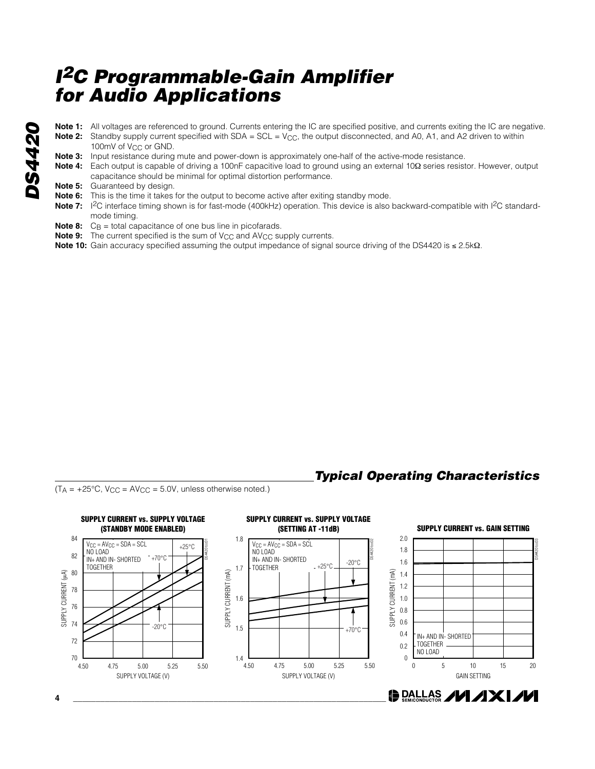- **DS4420 Note 1:** All voltages are referenced to ground. Currents entering the IC are specified positive, and currents exiting the IC are negative. **DS4420 Note 2:** Standby supply current specified with SDA = SCL = V<sub>CC</sub>, the output disconnected, and A0, A1, and A2 driven to within **Note 3:** Input resistance during mute and power-down is approximately one-half of the active-mode resistance. **Note 4:** Each output is capable of driving a 100nF capacitive load to ground using an external 10Ω series resistor. However, output **Note 5:** Guaranteed by design.
	- **Note 6:** This is the time it takes for the output to become active after exiting standby mode.

capacitance should be minimal for optimal distortion performance.

- Note 7: <sup>12</sup>C interface timing shown is for fast-mode (400kHz) operation. This device is also backward-compatible with 1<sup>2</sup>C standardmode timing.
- **Note 8:** C<sub>B</sub> = total capacitance of one bus line in picofarads.

100mV of V<sub>CC</sub> or GND.

- **Note 9:** The current specified is the sum of  $V_{CC}$  and  $AV_{CC}$  supply currents.
- **Note 10:** Gain accuracy specified assuming the output impedance of signal source driving of the DS4420 is ≤ 2.5kΩ.

### **Typical Operating Characteristics**

 $(T_A = +25^{\circ}C, V_{CC} = AV_{CC} = 5.0V,$  unless otherwise noted.)

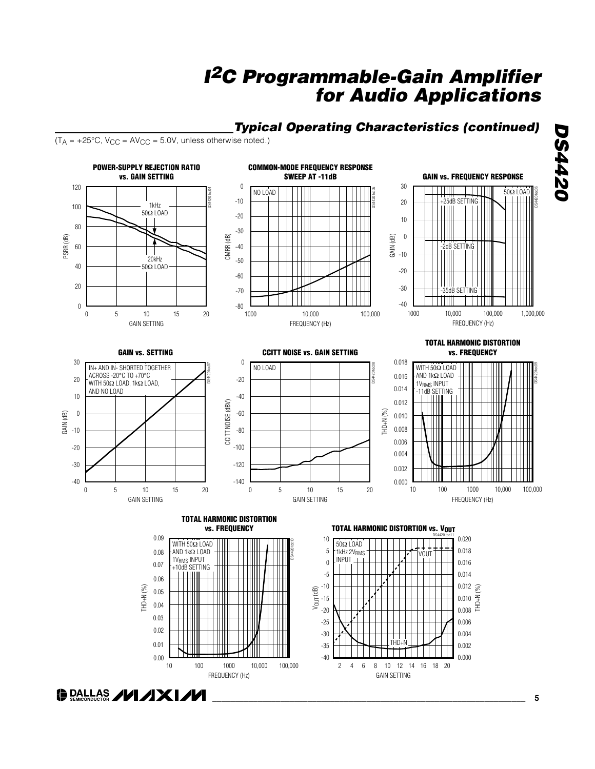### **Typical Operating Characteristics (continued)**

 $(T_A = +25^{\circ}C, V_{CC} = AV_{CC} = 5.0V,$  unless otherwise noted.)

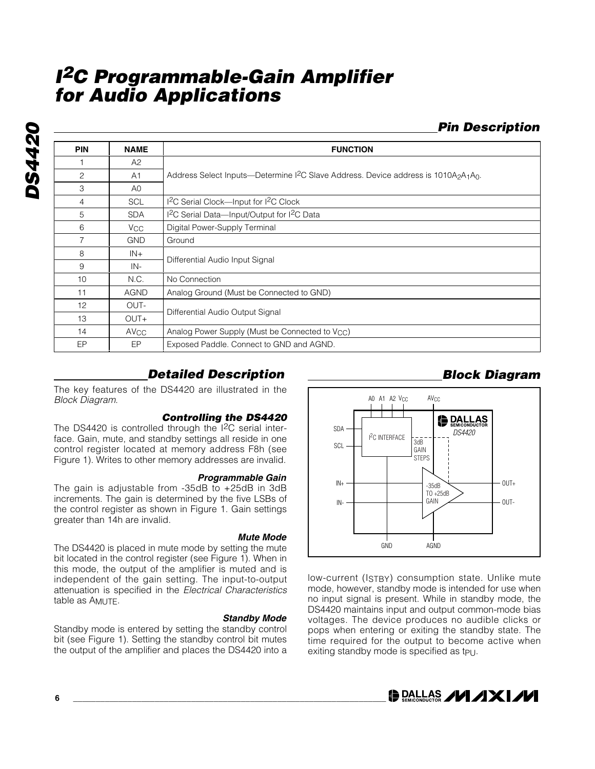**Pin Description**

| <b>PIN</b>     | <b>NAME</b>      | <b>FUNCTION</b>                                                                                                                      |
|----------------|------------------|--------------------------------------------------------------------------------------------------------------------------------------|
|                | A2               |                                                                                                                                      |
| $\overline{c}$ | A1               | Address Select Inputs—Determine I <sup>2</sup> C Slave Address. Device address is 1010A <sub>2</sub> A <sub>1</sub> A <sub>0</sub> . |
| 3              | A <sub>0</sub>   |                                                                                                                                      |
| 4              | <b>SCL</b>       | 1 <sup>2</sup> C Serial Clock-Input for 1 <sup>2</sup> C Clock                                                                       |
| 5              | <b>SDA</b>       | I <sup>2</sup> C Serial Data-Input/Output for I <sup>2</sup> C Data                                                                  |
| 6              | $V_{\rm CC}$     | Digital Power-Supply Terminal                                                                                                        |
| $\overline{7}$ | <b>GND</b>       | Ground                                                                                                                               |
| 8              | $IN+$            |                                                                                                                                      |
| 9              | IN-              | Differential Audio Input Signal                                                                                                      |
| 10             | N.C.             | No Connection                                                                                                                        |
| 11             | <b>AGND</b>      | Analog Ground (Must be Connected to GND)                                                                                             |
| 12             | OUT-             |                                                                                                                                      |
| 13             | $OUT+$           | Differential Audio Output Signal                                                                                                     |
| 14             | AV <sub>CC</sub> | Analog Power Supply (Must be Connected to V <sub>CC</sub> )                                                                          |
| EP             | EP               | Exposed Paddle. Connect to GND and AGND.                                                                                             |

### **Detailed Description**

The key features of the DS4420 are illustrated in the Block Diagram.

#### **Controlling the DS4420**

The DS4420 is controlled through the I2C serial interface. Gain, mute, and standby settings all reside in one control register located at memory address F8h (see Figure 1). Writes to other memory addresses are invalid.

#### **Programmable Gain**

The gain is adjustable from -35dB to +25dB in 3dB increments. The gain is determined by the five LSBs of the control register as shown in Figure 1. Gain settings greater than 14h are invalid.

#### **Mute Mode**

The DS4420 is placed in mute mode by setting the mute bit located in the control register (see Figure 1). When in this mode, the output of the amplifier is muted and is independent of the gain setting. The input-to-output attenuation is specified in the Electrical Characteristics table as AMUTE.

**Standby Mode** Standby mode is entered by setting the standby control bit (see Figure 1). Setting the standby control bit mutes the output of the amplifier and places the DS4420 into a



low-current (ISTBY) consumption state. Unlike mute mode, however, standby mode is intended for use when no input signal is present. While in standby mode, the DS4420 maintains input and output common-mode bias voltages. The device produces no audible clicks or pops when entering or exiting the standby state. The time required for the output to become active when exiting standby mode is specified as tpu.

**DE DALLAS AVI AXI AVI** 

**DS4420** DS4420

**6 \_\_\_\_\_\_\_\_\_\_\_\_\_\_\_\_\_\_\_\_\_\_\_\_\_\_\_\_\_\_\_\_\_\_\_\_\_\_\_\_\_\_\_\_\_\_\_\_\_\_\_\_\_\_\_\_\_\_\_\_\_\_\_\_\_\_\_\_\_**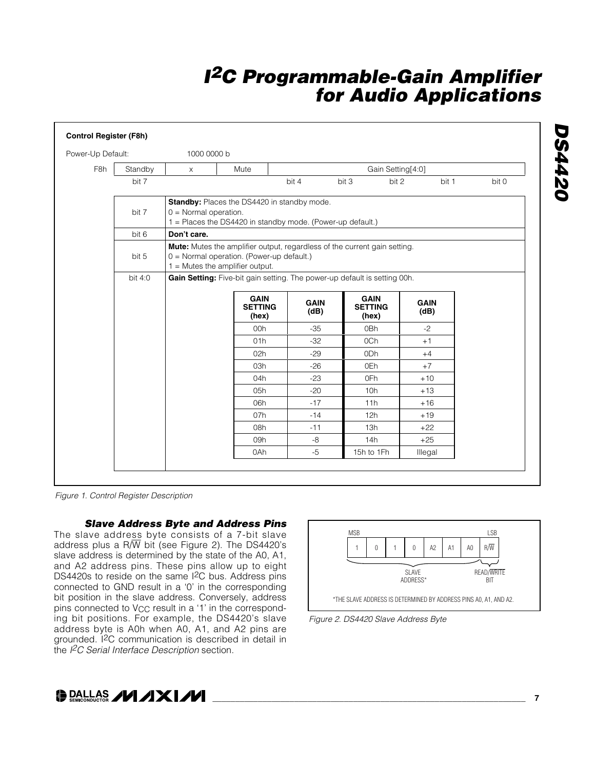| Power-Up Default: |         | 1000 0000 b             |                                                                                                                                                             |                     |                   |                                        |                     |       |
|-------------------|---------|-------------------------|-------------------------------------------------------------------------------------------------------------------------------------------------------------|---------------------|-------------------|----------------------------------------|---------------------|-------|
| F <sub>8h</sub>   | Standby | $\times$                | Mute                                                                                                                                                        |                     | Gain Setting[4:0] |                                        |                     |       |
|                   | bit 7   |                         |                                                                                                                                                             | bit 4               | bit 3             | bit 2                                  | bit 1               | bit 0 |
|                   | bit 7   | $0 =$ Normal operation. | Standby: Places the DS4420 in standby mode.<br>1 = Places the DS4420 in standby mode. (Power-up default.)                                                   |                     |                   |                                        |                     |       |
|                   | bit 6   | Don't care.             |                                                                                                                                                             |                     |                   |                                        |                     |       |
|                   | bit 5   |                         | Mute: Mutes the amplifier output, regardless of the current gain setting.<br>0 = Normal operation. (Power-up default.)<br>$1 =$ Mutes the amplifier output. |                     |                   |                                        |                     |       |
|                   | bit 4:0 |                         | Gain Setting: Five-bit gain setting. The power-up default is setting 00h.                                                                                   |                     |                   |                                        |                     |       |
|                   |         |                         | <b>GAIN</b><br><b>SETTING</b><br>(hex)                                                                                                                      | <b>GAIN</b><br>(dB) |                   | <b>GAIN</b><br><b>SETTING</b><br>(hex) | <b>GAIN</b><br>(dB) |       |
|                   |         |                         | 00h                                                                                                                                                         | $-35$               |                   | 0Bh                                    | $-2$                |       |
|                   |         |                         | 01h                                                                                                                                                         | $-32$               |                   | 0Ch                                    | $+1$                |       |
|                   |         |                         | 02h                                                                                                                                                         | $-29$               |                   | 0 <sub>Dh</sub>                        | $+4$                |       |
|                   |         |                         | 03h                                                                                                                                                         | $-26$               |                   | 0Eh                                    | $+7$                |       |
|                   |         |                         | 04h                                                                                                                                                         | $-23$               |                   | 0Fh                                    | $+10$               |       |
|                   |         |                         | 05h                                                                                                                                                         | $-20$               |                   | 10h                                    | $+13$               |       |
|                   |         |                         | 06h                                                                                                                                                         | $-17$               |                   | 11h                                    | $+16$               |       |
|                   |         |                         | 07h                                                                                                                                                         | $-14$               |                   | 12h                                    | $+19$               |       |
|                   |         |                         | 08h                                                                                                                                                         | $-11$               |                   | 13h                                    | $+22$               |       |
|                   |         |                         | 09h                                                                                                                                                         | $-8$                |                   | 14h                                    | $+25$               |       |
|                   |         |                         | 0Ah                                                                                                                                                         | $-5$                |                   | 15h to 1Fh                             | Illegal             |       |

Figure 1. Control Register Description

**Slave Address Byte and Address Pins**

The slave address byte consists of a 7-bit slave address plus a R/W bit (see Figure 2). The DS4420's slave address is determined by the state of the A0, A1, and A2 address pins. These pins allow up to eight DS4420s to reside on the same I2C bus. Address pins connected to GND result in a '0' in the corresponding bit position in the slave address. Conversely, address pins connected to V<sub>CC</sub> result in a '1' in the corresponding bit positions. For example, the DS4420's slave address byte is A0h when A0, A1, and A2 pins are grounded. I2C communication is described in detail in the I<sup>2</sup>C Serial Interface Description section.







**\_\_\_\_\_\_\_\_\_\_\_\_\_\_\_\_\_\_\_\_\_\_\_\_\_\_\_\_\_\_\_\_\_\_\_\_\_\_\_\_\_\_\_\_\_\_\_\_\_\_\_\_\_\_\_\_\_\_\_\_\_\_\_\_\_\_\_\_\_ 7**

**DS4420**

**DS4420**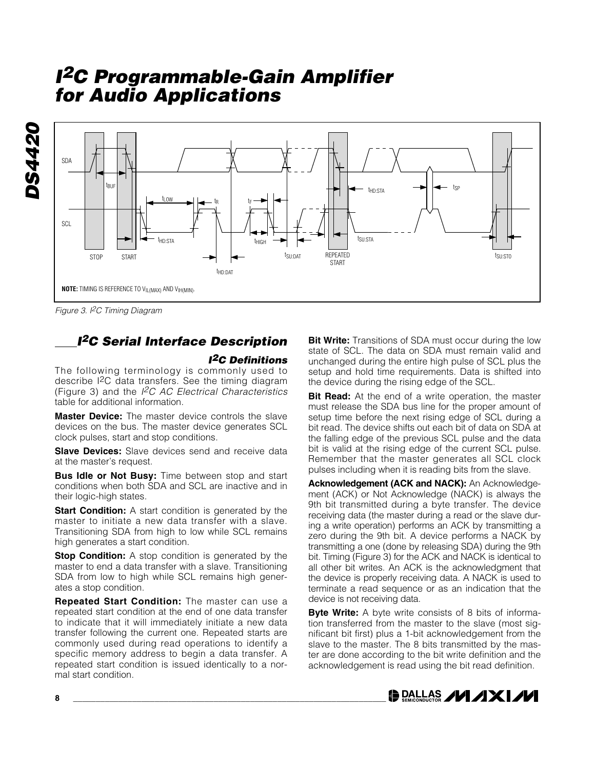

Figure 3. I<sup>2</sup>C Timing Diagram

**DS4420**

DS4420

## **<sup>I</sup><sup>2</sup>C Serial Interface Description**

#### **I2C Definitions**

The following terminology is commonly used to describe I2C data transfers. See the timing diagram (Figure 3) and the  $I^2C$  AC Electrical Characteristics table for additional information.

**Master Device:** The master device controls the slave devices on the bus. The master device generates SCL clock pulses, start and stop conditions.

**Slave Devices:** Slave devices send and receive data at the master's request.

**Bus Idle or Not Busy:** Time between stop and start conditions when both SDA and SCL are inactive and in their logic-high states.

**Start Condition:** A start condition is generated by the master to initiate a new data transfer with a slave. Transitioning SDA from high to low while SCL remains high generates a start condition.

**Stop Condition:** A stop condition is generated by the master to end a data transfer with a slave. Transitioning SDA from low to high while SCL remains high generates a stop condition.

**Repeated Start Condition:** The master can use a repeated start condition at the end of one data transfer to indicate that it will immediately initiate a new data transfer following the current one. Repeated starts are commonly used during read operations to identify a specific memory address to begin a data transfer. A repeated start condition is issued identically to a normal start condition.

**Bit Write:** Transitions of SDA must occur during the low state of SCL. The data on SDA must remain valid and unchanged during the entire high pulse of SCL plus the setup and hold time requirements. Data is shifted into the device during the rising edge of the SCL.

**Bit Read:** At the end of a write operation, the master must release the SDA bus line for the proper amount of setup time before the next rising edge of SCL during a bit read. The device shifts out each bit of data on SDA at the falling edge of the previous SCL pulse and the data bit is valid at the rising edge of the current SCL pulse. Remember that the master generates all SCL clock pulses including when it is reading bits from the slave.

**Acknowledgement (ACK and NACK):** An Acknowledgement (ACK) or Not Acknowledge (NACK) is always the 9th bit transmitted during a byte transfer. The device receiving data (the master during a read or the slave during a write operation) performs an ACK by transmitting a zero during the 9th bit. A device performs a NACK by transmitting a one (done by releasing SDA) during the 9th bit. Timing (Figure 3) for the ACK and NACK is identical to all other bit writes. An ACK is the acknowledgment that the device is properly receiving data. A NACK is used to terminate a read sequence or as an indication that the device is not receiving data.

**Byte Write:** A byte write consists of 8 bits of information transferred from the master to the slave (most significant bit first) plus a 1-bit acknowledgement from the slave to the master. The 8 bits transmitted by the master are done according to the bit write definition and the acknowledgement is read using the bit read definition.

**DALLAS ZVIZIXIZVI**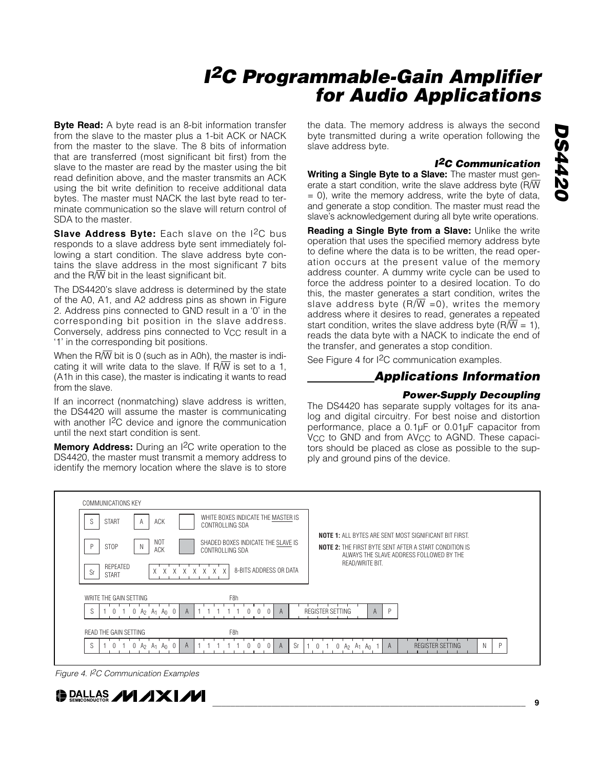**Byte Read:** A byte read is an 8-bit information transfer from the slave to the master plus a 1-bit ACK or NACK from the master to the slave. The 8 bits of information that are transferred (most significant bit first) from the slave to the master are read by the master using the bit read definition above, and the master transmits an ACK using the bit write definition to receive additional data bytes. The master must NACK the last byte read to terminate communication so the slave will return control of SDA to the master.

**Slave Address Byte:** Each slave on the I<sup>2</sup>C bus responds to a slave address byte sent immediately following a start condition. The slave address byte contains the slave address in the most significant 7 bits and the  $R/\overline{W}$  bit in the least significant bit.

The DS4420's slave address is determined by the state of the A0, A1, and A2 address pins as shown in Figure 2. Address pins connected to GND result in a '0' in the corresponding bit position in the slave address. Conversely, address pins connected to V<sub>CC</sub> result in a '1' in the corresponding bit positions.

When the R $\overline{W}$  bit is 0 (such as in A0h), the master is indicating it will write data to the slave. If R/W is set to a 1, (A1h in this case), the master is indicating it wants to read from the slave.

If an incorrect (nonmatching) slave address is written, the DS4420 will assume the master is communicating with another I<sup>2</sup>C device and ignore the communication until the next start condition is sent.

**Memory Address:** During an I<sup>2</sup>C write operation to the DS4420, the master must transmit a memory address to identify the memory location where the slave is to store the data. The memory address is always the second byte transmitted during a write operation following the slave address byte.

#### **I2C Communication**

**Writing a Single Byte to a Slave:** The master must generate a start condition, write the slave address byte (R/W  $= 0$ ), write the memory address, write the byte of data, and generate a stop condition. The master must read the slave's acknowledgement during all byte write operations.

**Reading a Single Byte from a Slave:** Unlike the write operation that uses the specified memory address byte to define where the data is to be written, the read operation occurs at the present value of the memory address counter. A dummy write cycle can be used to force the address pointer to a desired location. To do this, the master generates a start condition, writes the slave address byte  $(R/\overline{W} = 0)$ , writes the memory address where it desires to read, generates a repeated start condition, writes the slave address byte ( $R/\overline{W}$  = 1), reads the data byte with a NACK to indicate the end of the transfer, and generates a stop condition.

See Figure 4 for I2C communication examples.

### **Applications Information**

#### **Power-Supply Decoupling**

The DS4420 has separate supply voltages for its analog and digital circuitry. For best noise and distortion performance, place a 0.1µF or 0.01µF capacitor from V<sub>CC</sub> to GND and from AV<sub>CC</sub> to AGND. These capacitors should be placed as close as possible to the supply and ground pins of the device.



Figure 4. I<sup>2</sup>C Communication Examples